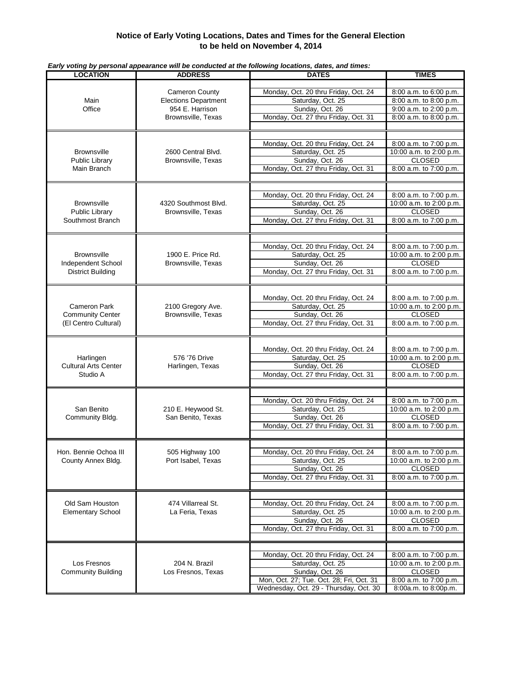## **Notice of Early Voting Locations, Dates and Times for the General Election to be held on November 4, 2014**

| <b>LOCATION</b>                          | <b>ADDRESS</b>                                       | Larry vourig by personal appearance will be conducted at the following locations, dates, and times.<br><b>DATES</b> | <b>TIMES</b>                                      |
|------------------------------------------|------------------------------------------------------|---------------------------------------------------------------------------------------------------------------------|---------------------------------------------------|
|                                          |                                                      |                                                                                                                     |                                                   |
| Main<br>Office                           | <b>Cameron County</b><br><b>Elections Department</b> | Monday, Oct. 20 thru Friday, Oct. 24                                                                                | 8:00 a.m. to 6:00 p.m.                            |
|                                          |                                                      | Saturday, Oct. 25                                                                                                   | 8:00 a.m. to 8:00 p.m.                            |
|                                          | 954 E. Harrison                                      | Sunday, Oct. 26                                                                                                     | 9:00 a.m. to 2:00 p.m.                            |
|                                          | Brownsville, Texas                                   | Monday, Oct. 27 thru Friday, Oct. 31                                                                                | 8:00 a.m. to 8:00 p.m.                            |
|                                          |                                                      |                                                                                                                     |                                                   |
|                                          |                                                      |                                                                                                                     |                                                   |
|                                          |                                                      |                                                                                                                     |                                                   |
| <b>Brownsville</b>                       | 2600 Central Blvd.                                   | Monday, Oct. 20 thru Friday, Oct. 24<br>Saturday, Oct. 25                                                           | 8:00 a.m. to 7:00 p.m.<br>10:00 a.m. to 2:00 p.m. |
|                                          | Brownsville, Texas                                   | Sunday, Oct. 26                                                                                                     | <b>CLOSED</b>                                     |
| Public Library<br>Main Branch            |                                                      | Monday, Oct. 27 thru Friday, Oct. 31                                                                                | 8:00 a.m. to 7:00 p.m.                            |
|                                          |                                                      |                                                                                                                     |                                                   |
|                                          |                                                      |                                                                                                                     |                                                   |
|                                          | 4320 Southmost Blvd.<br>Brownsville, Texas           |                                                                                                                     |                                                   |
|                                          |                                                      | Monday, Oct. 20 thru Friday, Oct. 24                                                                                | 8:00 a.m. to 7:00 p.m.                            |
| <b>Brownsville</b>                       |                                                      | Saturday, Oct. 25                                                                                                   | 10:00 a.m. to 2:00 p.m.                           |
| Public Library                           |                                                      | Sunday, Oct. 26                                                                                                     | <b>CLOSED</b>                                     |
| Southmost Branch                         |                                                      | Monday, Oct. 27 thru Friday, Oct. 31                                                                                | 8:00 a.m. to 7:00 p.m.                            |
|                                          |                                                      |                                                                                                                     |                                                   |
|                                          |                                                      |                                                                                                                     |                                                   |
|                                          |                                                      | Monday, Oct. 20 thru Friday, Oct. 24                                                                                | 8:00 a.m. to 7:00 p.m.                            |
| <b>Brownsville</b>                       | 1900 E. Price Rd.                                    | Saturday, Oct. 25                                                                                                   | 10:00 a.m. to 2:00 p.m.                           |
| Independent School                       | Brownsville, Texas                                   | Sunday, Oct. 26                                                                                                     | <b>CLOSED</b>                                     |
| <b>District Building</b>                 |                                                      | Monday, Oct. 27 thru Friday, Oct. 31                                                                                | 8:00 a.m. to 7:00 p.m.                            |
|                                          |                                                      |                                                                                                                     |                                                   |
|                                          |                                                      |                                                                                                                     |                                                   |
|                                          |                                                      | Monday, Oct. 20 thru Friday, Oct. 24                                                                                | 8:00 a.m. to 7:00 p.m.                            |
| <b>Cameron Park</b>                      | 2100 Gregory Ave.                                    | Saturday, Oct. 25                                                                                                   | 10:00 a.m. to 2:00 p.m.                           |
| <b>Community Center</b>                  | Brownsville, Texas                                   | Sunday, Oct. 26                                                                                                     | <b>CLOSED</b>                                     |
| (El Centro Cultural)                     |                                                      | Monday, Oct. 27 thru Friday, Oct. 31                                                                                | 8:00 a.m. to 7:00 p.m.                            |
|                                          |                                                      |                                                                                                                     |                                                   |
|                                          |                                                      |                                                                                                                     |                                                   |
|                                          |                                                      | Monday, Oct. 20 thru Friday, Oct. 24                                                                                | 8:00 a.m. to 7:00 p.m.                            |
| Harlingen<br><b>Cultural Arts Center</b> | 576 '76 Drive<br>Harlingen, Texas                    | Saturday, Oct. 25                                                                                                   | 10:00 a.m. to 2:00 p.m.                           |
|                                          |                                                      | Sunday, Oct. 26                                                                                                     | <b>CLOSED</b>                                     |
| Studio A                                 |                                                      | Monday, Oct. 27 thru Friday, Oct. 31                                                                                | 8:00 a.m. to 7:00 p.m.                            |
|                                          |                                                      |                                                                                                                     |                                                   |
|                                          |                                                      |                                                                                                                     |                                                   |
|                                          | 210 E. Heywood St.<br>San Benito, Texas              | Monday, Oct. 20 thru Friday, Oct. 24                                                                                | 8:00 a.m. to 7:00 p.m.                            |
| San Benito                               |                                                      | Saturday, Oct. 25                                                                                                   | 10:00 a.m. to 2:00 p.m.                           |
| Community Bldg.                          |                                                      | Sunday, Oct. 26                                                                                                     | <b>CLOSED</b>                                     |
|                                          |                                                      | Monday, Oct. 27 thru Friday, Oct. 31                                                                                | 8:00 a.m. to 7:00 p.m.                            |
|                                          |                                                      |                                                                                                                     |                                                   |
|                                          |                                                      |                                                                                                                     |                                                   |
| Hon. Bennie Ochoa III                    | 505 Highway 100                                      | Monday, Oct. 20 thru Friday, Oct. 24                                                                                | 8:00 a.m. to 7:00 p.m.                            |
| County Annex Bldg.                       | Port Isabel, Texas                                   | Saturday, Oct. 25                                                                                                   | 10:00 a.m. to 2:00 p.m.                           |
|                                          |                                                      | Sunday, Oct. 26                                                                                                     | <b>CLOSED</b>                                     |
|                                          |                                                      | Monday, Oct. 27 thru Friday, Oct. 31                                                                                | 8:00 a.m. to 7:00 p.m.                            |
|                                          |                                                      |                                                                                                                     |                                                   |
|                                          |                                                      |                                                                                                                     |                                                   |
| Old Sam Houston                          | 474 Villarreal St.                                   | Monday, Oct. 20 thru Friday, Oct. 24                                                                                | 8:00 a.m. to 7:00 p.m.                            |
| <b>Elementary School</b>                 | La Feria, Texas                                      | Saturday, Oct. 25                                                                                                   | 10:00 a.m. to 2:00 p.m.                           |
|                                          |                                                      | Sunday, Oct. 26                                                                                                     | <b>CLOSED</b>                                     |
|                                          |                                                      | Monday, Oct. 27 thru Friday, Oct. 31                                                                                | 8:00 a.m. to 7:00 p.m.                            |
|                                          |                                                      |                                                                                                                     |                                                   |
|                                          |                                                      |                                                                                                                     |                                                   |
|                                          | 204 N. Brazil                                        | Monday, Oct. 20 thru Friday, Oct. 24                                                                                | 8:00 a.m. to 7:00 p.m.                            |
| Los Fresnos                              |                                                      | Saturday, Oct. 25                                                                                                   | 10:00 a.m. to 2:00 p.m.                           |
| <b>Community Building</b>                | Los Fresnos, Texas                                   | Sunday, Oct. 26                                                                                                     | <b>CLOSED</b>                                     |
|                                          |                                                      | Mon, Oct. 27; Tue. Oct. 28; Fri, Oct. 31                                                                            | 8:00 a.m. to 7:00 p.m.                            |
|                                          |                                                      | Wednesday, Oct. 29 - Thursday, Oct. 30                                                                              | 8:00a.m. to 8:00p.m.                              |
|                                          |                                                      |                                                                                                                     |                                                   |

*Early voting by personal appearance will be conducted at the following locations, dates, and times:*